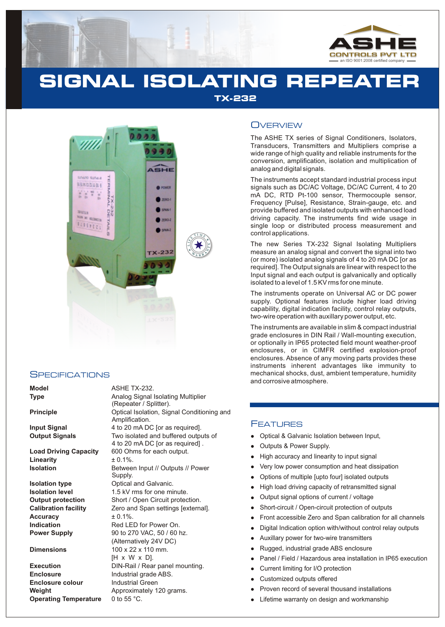

# **SIGNAL ISOLATING REPEATER**

**TX-232**



## **SPECIFICATIONS**

Linearity  $\pm 0.1\%$ .

**Accuracy** ± 0.1%.

**Enclosure** Industrial grade ABS. **Enclosure colour** Industrial Green **Weight Approximately 120 grams. Operating Temperature** 0 to 55 °C.

**Model** ASHE TX-232. **Type Analog Signal Isolating Multiplier** (Repeater / Splitter). **Principle Condition** Optical Isolation, Signal Conditioning and Amplification. **Input Signal** 4 to 20 mA DC [or as required]. **Output Signals** Two isolated and buffered outputs of 4 to 20 mA DC [or as required] . Load Driving Capacity 600 Ohms for each output. **Isolation** Between Input // Outputs // Power Supply. **Isolation type Optical and Galvanic. Isolation level** 1.5 kV rms for one minute. **Output protection** Short / Open Circuit protection. **Calibration facility** Zero and Span settings [external]. **Indication Red LED for Power On.**<br>**Power Supply** 90 to 270 VAC, 50 / 60 h **Power Supply** 90 to 270 VAC, 50 / 60 hz. (Alternatively 24V DC) **Dimensions** 100 x 22 x 110 mm. [H x W x D]. **Execution** DIN-Rail / Rear panel mounting.

## **OVERVIEW**

The ASHE TX series of Signal Conditioners, Isolators, Transducers, Transmitters and Multipliers comprise a wide range of high quality and reliable instruments for the conversion, amplification, isolation and multiplication of analog and digital signals.

The instruments accept standard industrial process input signals such as DC/AC Voltage, DC/AC Current, 4 to 20 mA DC, RTD Pt-100 sensor, Thermocouple sensor, Frequency [Pulse], Resistance, Strain-gauge, etc. and provide buffered and isolated outputs with enhanced load driving capacity. The instruments find wide usage in single loop or distributed process measurement and control applications.

The new Series TX-232 Signal Isolating Multipliers measure an analog signal and convert the signal into two (or more) isolated analog signals of 4 to 20 mA DC [or as required]. The Output signals are linear with respect to the Input signal and each output is galvanically and optically isolated to a level of 1.5 KV rms for one minute.

The instruments operate on Universal AC or DC power supply. Optional features include higher load driving capability, digital indication facility, control relay outputs, two-wire operation with auxillary power output, etc.

The instruments are available in slim & compact industrial grade enclosures in DIN Rail / Wall-mounting execution, or optionally in IP65 protected field mount weather-proof enclosures, or in CIMFR certified explosion-proof enclosures. Absence of any moving parts provides these instruments inherent advantages like immunity to mechanical shocks, dust, ambient temperature, humidity and corrosive atmosphere.

# **FEATURES**

- Optical & Galvanic Isolation between Input,
- Outputs & Power Supply.
- High accuracy and linearity to input signal  $\bullet$
- Very low power consumption and heat dissipation
- Options of multiple [upto four] isolated outputs
- Opti Outrice of the Currence of the Currence of the Currence of the Currence of the Currence of the Currence of the Currence of the Currence of the Currence of the Currence of the Currence of the Currence of the Curre High load driving capacity of retransmitted signal  $\bullet$
- Output signal options of current / voltage
- Short-circuit / Open-circuit protection of outputs
- Front accessible Zero and Span calibration for all channels
- Digital Indication option with/without control relay outputs  $\bullet$
- Auxillary power for two-wire transmitters  $\bullet$
- Rugged, industrial grade ABS enclosure  $\bullet$
- Panel / Field / Hazardous area installation in IP65 execution
- Current limiting for I/O protection
- Customized outputs offered
- Proven record of several thousand installations
- Lifetime warranty on design and workmanship